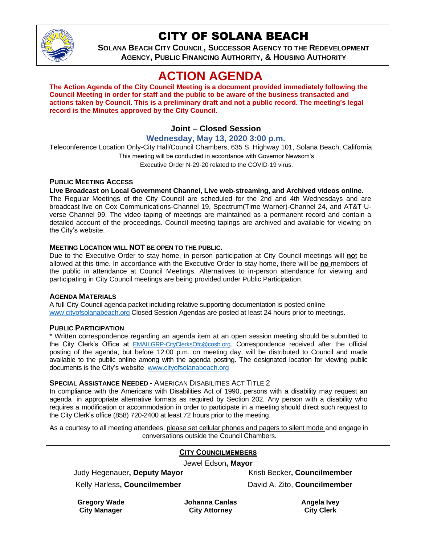

# CITY OF SOLANA BEACH

**SOLANA BEACH CITY COUNCIL, SUCCESSOR AGENCY TO THE REDEVELOPMENT AGENCY, PUBLIC FINANCING AUTHORITY, & HOUSING AUTHORITY**

# **ACTION AGENDA**

**The Action Agenda of the City Council Meeting is a document provided immediately following the Council Meeting in order for staff and the public to be aware of the business transacted and actions taken by Council. This is a preliminary draft and not a public record. The meeting's legal record is the Minutes approved by the City Council.**

# **Joint – Closed Session**

## **Wednesday, May 13, 2020 3:00 p.m.**

Teleconference Location Only-City Hall/Council Chambers, 635 S. Highway 101, Solana Beach, California This meeting will be conducted in accordance with Governor Newsom's Executive Order N-29-20 related to the COVID-19 virus.

## **PUBLIC MEETING ACCESS**

#### **Live Broadcast on Local Government Channel, Live web-streaming, and Archived videos online.**

The Regular Meetings of the City Council are scheduled for the 2nd and 4th Wednesdays and are broadcast live on Cox Communications-Channel 19, Spectrum(Time Warner)-Channel 24, and AT&T Uverse Channel 99. The video taping of meetings are maintained as a permanent record and contain a detailed account of the proceedings. Council meeting tapings are archived and available for viewing on the City's website.

### **MEETING LOCATION WILL NOT BE OPEN TO THE PUBLIC.**

Due to the Executive Order to stay home, in person participation at City Council meetings will **no**t be allowed at this time. In accordance with the Executive Order to stay home, there will be **no** members of the public in attendance at Council Meetings. Alternatives to in-person attendance for viewing and participating in City Council meetings are being provided under Public Participation.

### **AGENDA MATERIALS**

A full City Council agenda packet including relative supporting documentation is posted online [www.cityofsolanabeach.org](https://urldefense.proofpoint.com/v2/url?u=http-3A__www.cityofsolanabeach.org&d=DwQFAg&c=euGZstcaTDllvimEN8b7jXrwqOf-v5A_CdpgnVfiiMM&r=1XAsCUuqwK_tji2t0s1uIQ&m=wny2RVfZJ2tN24LkqZmkUWNpwL_peNtTZUBlTBZiMM4&s=6ATguqxJUOD7VVtloplAbyuyNaVcEh6Fl4q1iw55lCY&e=) Closed Session Agendas are posted at least 24 hours prior to meetings.

#### **PUBLIC PARTICIPATION**

\* Written correspondence regarding an agenda item at an open session meeting should be submitted to the City Clerk's Office at [EMAILGRP-CityClerksOfc@cosb.org](mailto:EMAILGRP-CityClerksOfc@cosb.org). Correspondence received after the official posting of the agenda, but before 12:00 p.m. on meeting day, will be distributed to Council and made available to the public online among with the agenda posting. The designated location for viewing public documents is the City's website [www.cityofsolanabeach.org](http://www.cityofsolanabeach.org/)

#### **SPECIAL ASSISTANCE NEEDED** - AMERICAN DISABILITIES ACT TITLE 2

In compliance with the Americans with Disabilities Act of 1990, persons with a disability may request an agenda in appropriate alternative formats as required by Section 202. Any person with a disability who requires a modification or accommodation in order to participate in a meeting should direct such request to the City Clerk's office (858) 720-2400 at least 72 hours prior to the meeting.

As a courtesy to all meeting attendees, please set cellular phones and pagers to silent mode and engage in conversations outside the Council Chambers.

|                              | <b>CITY COUNCILMEMBERS</b>   |
|------------------------------|------------------------------|
| Jewel Edson, Mayor           |                              |
| Judy Hegenauer, Deputy Mayor | Kristi Becker, Councilmember |
| Kelly Harless, Councilmember | David A. Zito, Councilmember |

**Gregory Wade City Manager**

**Johanna Canlas City Attorney**

**Angela Ivey City Clerk**